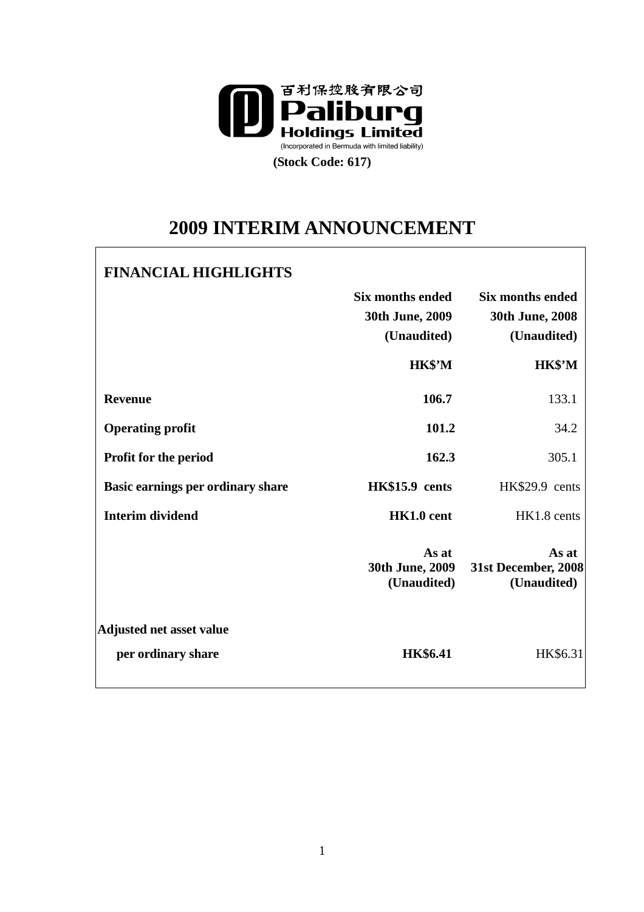

# **2009 INTERIM ANNOUNCEMENT**

# **FINANCIAL HIGHLIGHTS**

|                                   | <b>Six months ended</b><br>30th June, 2009<br>(Unaudited) | <b>Six months ended</b><br>30th June, 2008<br>(Unaudited) |
|-----------------------------------|-----------------------------------------------------------|-----------------------------------------------------------|
|                                   | HK\$'M                                                    | HK\$'M                                                    |
| <b>Revenue</b>                    | 106.7                                                     | 133.1                                                     |
| <b>Operating profit</b>           | 101.2                                                     | 34.2                                                      |
| <b>Profit for the period</b>      | 162.3                                                     | 305.1                                                     |
| Basic earnings per ordinary share | HK\$15.9 cents                                            | HK\$29.9 cents                                            |
| <b>Interim dividend</b>           | HK1.0 cent                                                | HK1.8 cents                                               |
|                                   | As at<br>30th June, 2009<br>(Unaudited)                   | As at<br>31st December, 2008<br>(Unaudited)               |
| <b>Adjusted net asset value</b>   |                                                           |                                                           |
| per ordinary share                | <b>HK\$6.41</b>                                           | HK\$6.31                                                  |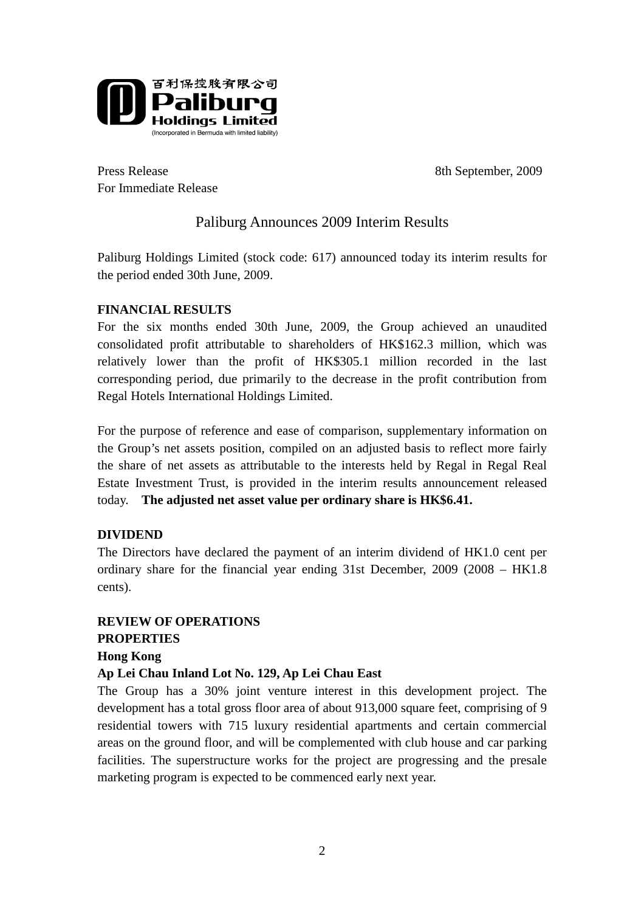

Press Release 8th September, 2009 For Immediate Release

# Paliburg Announces 2009 Interim Results

Paliburg Holdings Limited (stock code: 617) announced today its interim results for the period ended 30th June, 2009.

#### **FINANCIAL RESULTS**

For the six months ended 30th June, 2009, the Group achieved an unaudited consolidated profit attributable to shareholders of HK\$162.3 million, which was relatively lower than the profit of HK\$305.1 million recorded in the last corresponding period, due primarily to the decrease in the profit contribution from Regal Hotels International Holdings Limited.

For the purpose of reference and ease of comparison, supplementary information on the Group's net assets position, compiled on an adjusted basis to reflect more fairly the share of net assets as attributable to the interests held by Regal in Regal Real Estate Investment Trust, is provided in the interim results announcement released today. **The adjusted net asset value per ordinary share is HK\$6.41.**

## **DIVIDEND**

The Directors have declared the payment of an interim dividend of HK1.0 cent per ordinary share for the financial year ending 31st December, 2009 (2008 – HK1.8 cents).

# **REVIEW OF OPERATIONS PROPERTIES Hong Kong**

## **Ap Lei Chau Inland Lot No. 129, Ap Lei Chau East**

The Group has a 30% joint venture interest in this development project. The development has a total gross floor area of about 913,000 square feet, comprising of 9 residential towers with 715 luxury residential apartments and certain commercial areas on the ground floor, and will be complemented with club house and car parking facilities. The superstructure works for the project are progressing and the presale marketing program is expected to be commenced early next year.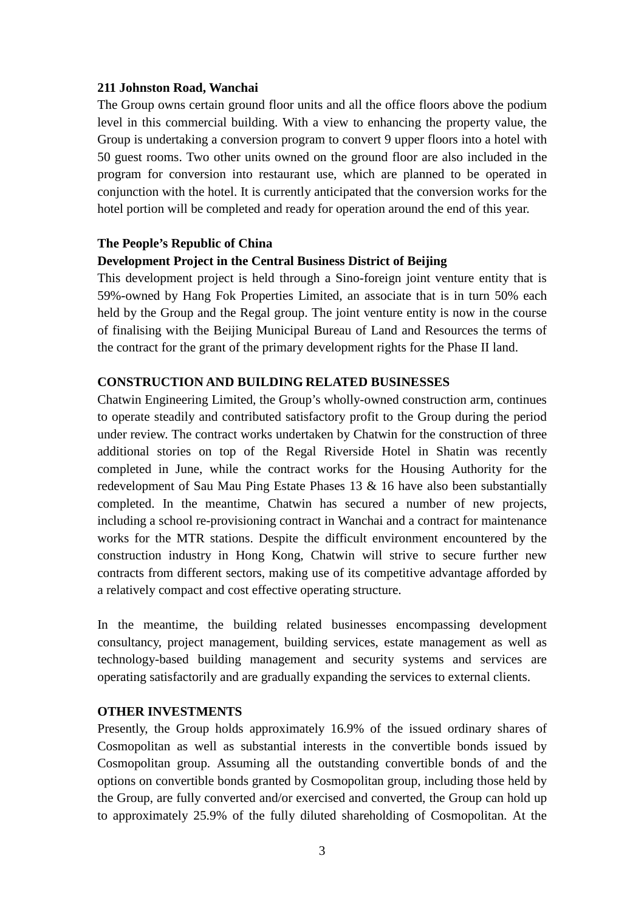#### **211 Johnston Road, Wanchai**

The Group owns certain ground floor units and all the office floors above the podium level in this commercial building. With a view to enhancing the property value, the Group is undertaking a conversion program to convert 9 upper floors into a hotel with 50 guest rooms. Two other units owned on the ground floor are also included in the program for conversion into restaurant use, which are planned to be operated in conjunction with the hotel. It is currently anticipated that the conversion works for the hotel portion will be completed and ready for operation around the end of this year.

#### **The People's Republic of China**

#### **Development Project in the Central Business District of Beijing**

This development project is held through a Sino-foreign joint venture entity that is 59%-owned by Hang Fok Properties Limited, an associate that is in turn 50% each held by the Group and the Regal group. The joint venture entity is now in the course of finalising with the Beijing Municipal Bureau of Land and Resources the terms of the contract for the grant of the primary development rights for the Phase II land.

#### **CONSTRUCTION AND BUILDING RELATED BUSINESSES**

Chatwin Engineering Limited, the Group's wholly-owned construction arm, continues to operate steadily and contributed satisfactory profit to the Group during the period under review. The contract works undertaken by Chatwin for the construction of three additional stories on top of the Regal Riverside Hotel in Shatin was recently completed in June, while the contract works for the Housing Authority for the redevelopment of Sau Mau Ping Estate Phases 13 & 16 have also been substantially completed. In the meantime, Chatwin has secured a number of new projects, including a school re-provisioning contract in Wanchai and a contract for maintenance works for the MTR stations. Despite the difficult environment encountered by the construction industry in Hong Kong, Chatwin will strive to secure further new contracts from different sectors, making use of its competitive advantage afforded by a relatively compact and cost effective operating structure.

In the meantime, the building related businesses encompassing development consultancy, project management, building services, estate management as well as technology-based building management and security systems and services are operating satisfactorily and are gradually expanding the services to external clients.

#### **OTHER INVESTMENTS**

Presently, the Group holds approximately 16.9% of the issued ordinary shares of Cosmopolitan as well as substantial interests in the convertible bonds issued by Cosmopolitan group. Assuming all the outstanding convertible bonds of and the options on convertible bonds granted by Cosmopolitan group, including those held by the Group, are fully converted and/or exercised and converted, the Group can hold up to approximately 25.9% of the fully diluted shareholding of Cosmopolitan. At the